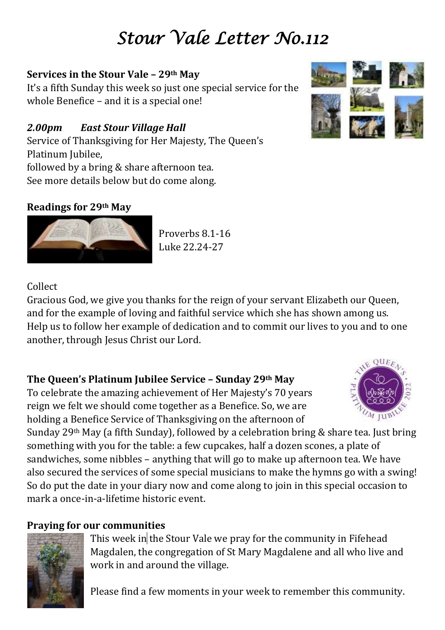# *Stour Vale Letter No.112*

## **Services in the Stour Vale – 29th May**

It's a fifth Sunday this week so just one special service for the whole Benefice – and it is a special one!

# *2.00pm East Stour Village Hall*

Service of Thanksgiving for Her Majesty, The Queen's Platinum Jubilee, followed by a bring & share afternoon tea.

See more details below but do come along.

## **Readings for 29th May**

Proverbs 8.1-16 Luke 22.24-27

### Collect

Gracious God, we give you thanks for the reign of your servant Elizabeth our Queen, and for the example of loving and faithful service which she has shown among us. Help us to follow her example of dedication and to commit our lives to you and to one another, through Jesus Christ our Lord.

# **The Queen's Platinum Jubilee Service – Sunday 29th May**

To celebrate the amazing achievement of Her Majesty's 70 years reign we felt we should come together as a Benefice. So, we are holding a Benefice Service of Thanksgiving on the afternoon of

Sunday 29th May (a fifth Sunday), followed by a celebration bring & share tea. Just bring something with you for the table: a few cupcakes, half a dozen scones, a plate of sandwiches, some nibbles – anything that will go to make up afternoon tea. We have also secured the services of some special musicians to make the hymns go with a swing! So do put the date in your diary now and come along to join in this special occasion to mark a once-in-a-lifetime historic event.

# **Praying for our communities**

This week in the Stour Vale we pray for the community in Fifehead Magdalen, the congregation of St Mary Magdalene and all who live and work in and around the village.

Please find a few moments in your week to remember this community.





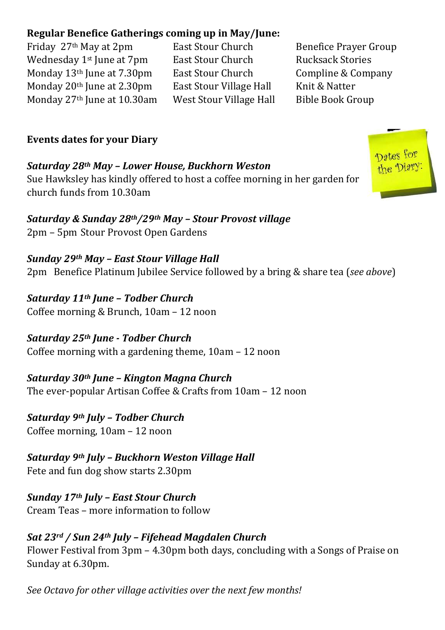### **Regular Benefice Gatherings coming up in May/June:**

Friday 27<sup>th</sup> May at 2pm East Stour Church Benefice Prayer Group Wednesday 1<sup>st</sup> June at 7pm East Stour Church Rucksack Stories Monday 13<sup>th</sup> June at 7.30pm East Stour Church Compline & Company Monday 20<sup>th</sup> June at 2.30pm East Stour Village Hall Knit & Natter Monday 27th June at 10.30am West Stour Village Hall Bible Book Group

#### **Events dates for your Diary**

*Saturday 28th May – Lower House, Buckhorn Weston* Sue Hawksley has kindly offered to host a coffee morning in her garden for church funds from 10.30am

*Saturday & Sunday 28th/29th May – Stour Provost village* 2pm – 5pm Stour Provost Open Gardens

*Sunday 29th May – East Stour Village Hall* 2pm Benefice Platinum Jubilee Service followed by a bring & share tea (*see above*)

*Saturday 11th June – Todber Church* Coffee morning & Brunch, 10am – 12 noon

*Saturday 25th June - Todber Church* Coffee morning with a gardening theme, 10am – 12 noon

*Saturday 30th June – Kington Magna Church* The ever-popular Artisan Coffee & Crafts from 10am – 12 noon

*Saturday 9th July – Todber Church*  Coffee morning, 10am – 12 noon

*Saturday 9th July – Buckhorn Weston Village Hall* Fete and fun dog show starts 2.30pm

*Sunday 17th July – East Stour Church* Cream Teas – more information to follow

*Sat 23rd / Sun 24th July – Fifehead Magdalen Church* Flower Festival from 3pm – 4.30pm both days, concluding with a Songs of Praise on Sunday at 6.30pm.

*See Octavo for other village activities over the next few months!*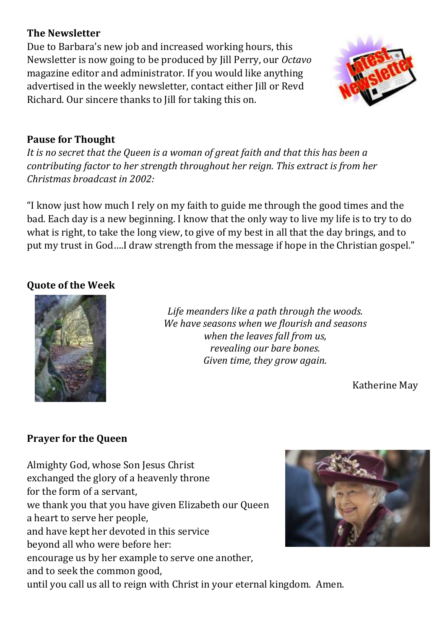#### **The Newsletter**

Due to Barbara's new job and increased working hours, this Newsletter is now going to be produced by Jill Perry, our *Octavo* magazine editor and administrator. If you would like anything advertised in the weekly newsletter, contact either Jill or Revd Richard. Our sincere thanks to Jill for taking this on.



#### **Pause for Thought**

*It is no secret that the Queen is a woman of great faith and that this has been a contributing factor to her strength throughout her reign. This extract is from her Christmas broadcast in 2002:*

"I know just how much I rely on my faith to guide me through the good times and the bad. Each day is a new beginning. I know that the only way to live my life is to try to do what is right, to take the long view, to give of my best in all that the day brings, and to put my trust in God….I draw strength from the message if hope in the Christian gospel."

#### **Quote of the Week**



*Life meanders like a path through the woods. We have seasons when we flourish and seasons when the leaves fall from us, revealing our bare bones. Given time, they grow again.*

Katherine May

#### **Prayer for the Queen**

Almighty God, whose Son Jesus Christ exchanged the glory of a heavenly throne for the form of a servant, we thank you that you have given Elizabeth our Queen a heart to serve her people, and have kept her devoted in this service beyond all who were before her: encourage us by her example to serve one another, and to seek the common good,



until you call us all to reign with Christ in your eternal kingdom. Amen.